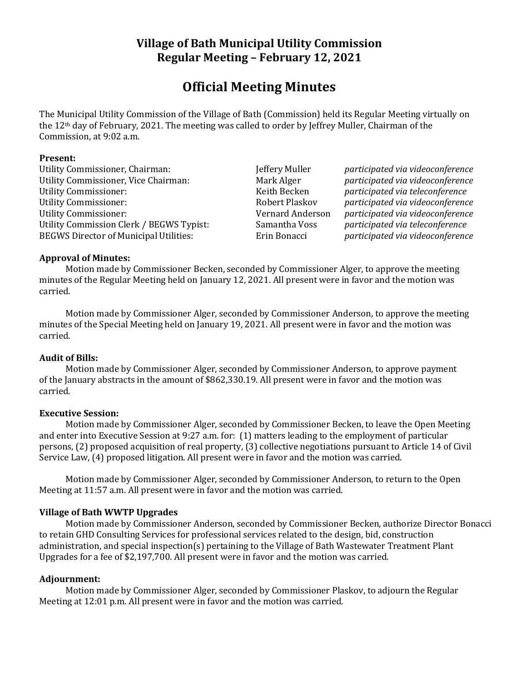## **Village of Bath Municipal Utility Commission Regular Meeting – February 12, 2021**

# **Official Meeting Minutes**

The Municipal Utility Commission of the Village of Bath (Commission) held its Regular Meeting virtually on the 12th day of February, 2021. The meeting was called to order by Jeffrey Muller, Chairman of the Commission, at 9:02 a.m.

#### **Present:**

Utility Commissioner, Chairman: Jeffery Muller *participated via videoconference* Utility Commissioner, Vice Chairman: Mark Alger *participated via videoconference* Utility Commissioner: Keith Becken *participated via teleconference* Utility Commissioner: Robert Plaskov *participated via videoconference* Utility Commissioner: Vernard Anderson *participated via videoconference* Utility Commission Clerk / BEGWS Typist: Samantha Voss *participated via teleconference* BEGWS Director of Municipal Utilities: Erin Bonacci *participated via videoconference*

#### **Approval of Minutes:**

Motion made by Commissioner Becken, seconded by Commissioner Alger, to approve the meeting minutes of the Regular Meeting held on January 12, 2021. All present were in favor and the motion was carried.

Motion made by Commissioner Alger, seconded by Commissioner Anderson, to approve the meeting minutes of the Special Meeting held on January 19, 2021. All present were in favor and the motion was carried.

#### **Audit of Bills:**

Motion made by Commissioner Alger, seconded by Commissioner Anderson, to approve payment of the January abstracts in the amount of \$862,330.19. All present were in favor and the motion was carried.

#### **Executive Session:**

Motion made by Commissioner Alger, seconded by Commissioner Becken, to leave the Open Meeting and enter into Executive Session at 9:27 a.m. for: (1) matters leading to the employment of particular persons, (2) proposed acquisition of real property, (3) collective negotiations pursuant to Article 14 of Civil Service Law, (4) proposed litigation. All present were in favor and the motion was carried.

Motion made by Commissioner Alger, seconded by Commissioner Anderson, to return to the Open Meeting at 11:57 a.m. All present were in favor and the motion was carried.

## **Village of Bath WWTP Upgrades**

Motion made by Commissioner Anderson, seconded by Commissioner Becken, authorize Director Bonacci to retain GHD Consulting Services for professional services related to the design, bid, construction administration, and special inspection(s) pertaining to the Village of Bath Wastewater Treatment Plant Upgrades for a fee of \$2,197,700. All present were in favor and the motion was carried.

## **Adjournment:**

Motion made by Commissioner Alger, seconded by Commissioner Plaskov, to adjourn the Regular Meeting at 12:01 p.m. All present were in favor and the motion was carried.